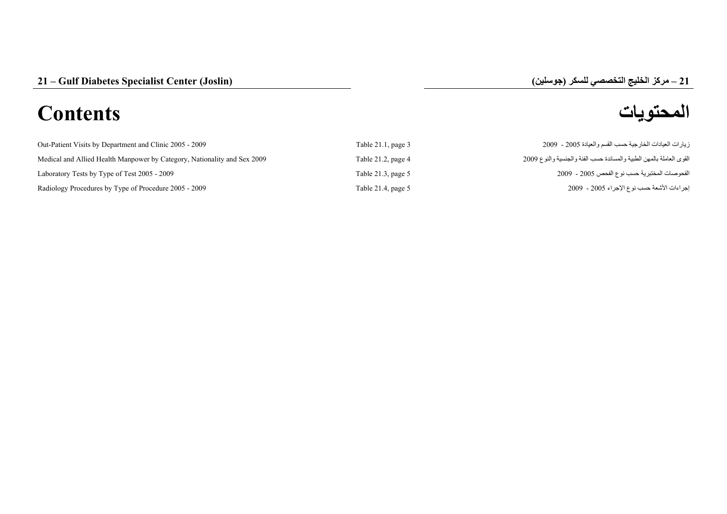# **المحتويات Contents**

| Out-Patient Visits by Department and Clinic 2005 - 2009                  | Table $21.1$ , page $3$ | زيارات العيادات الخارجية حسب القسم والعيادة 2005 - 2009              |
|--------------------------------------------------------------------------|-------------------------|----------------------------------------------------------------------|
| Medical and Allied Health Manpower by Category, Nationality and Sex 2009 | Table $21.2$ , page $4$ | القوى العاملة بالمهن الطبية والمساندة حسب الفئة والجنسية والنوع 2009 |
| Laboratory Tests by Type of Test 2005 - 2009                             | Table 21.3, page $5$    | الفحوصات المختبرية حسب نوع الفحص 2005 - 2009                         |
| Radiology Procedures by Type of Procedure 2005 - 2009                    | Table 21.4, page $5$    | إجراءات الأشعة حسب نوع الإجراء 2005 - 2009                           |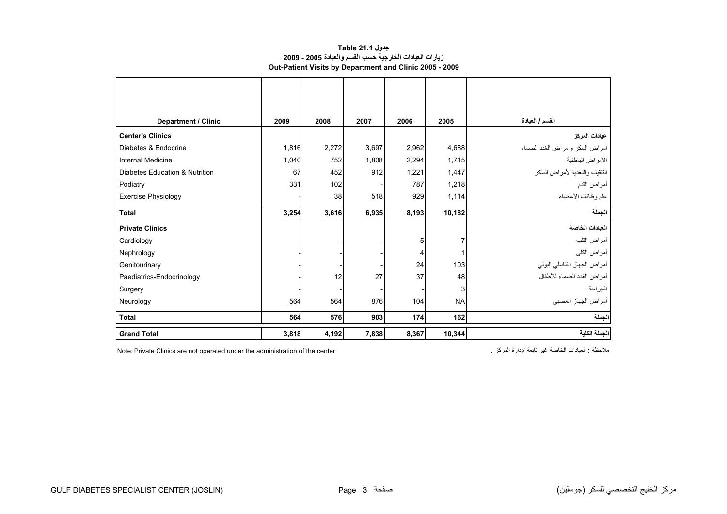#### **جدول 21.1 Table زيارات العيادات الخارجية حسب القسم والعيادة 2005 - 2009 Out-Patient Visits by Department and Clinic 2005 - 2009**

<span id="page-1-0"></span>

| <b>Department / Clinic</b>     | 2009  | 2008  | 2007  | 2006  | 2005      | القسم / العبادة                 |
|--------------------------------|-------|-------|-------|-------|-----------|---------------------------------|
| <b>Center's Clinics</b>        |       |       |       |       |           | عيادات المركز                   |
| Diabetes & Endocrine           | 1,816 | 2,272 | 3,697 | 2,962 | 4,688     | أمراض السكر وأمراض الغدد الصماء |
| <b>Internal Medicine</b>       | 1,040 | 752   | 1,808 | 2,294 | 1,715     | الأمراض الباطنية                |
| Diabetes Education & Nutrition | 67    | 452   | 912   | 1,221 | 1,447     | التثقيف والتغذية لأمراض السكر   |
| Podiatry                       | 331   | 102   |       | 787   | 1,218     | أمراض القدم                     |
| <b>Exercise Physiology</b>     |       | 38    | 518   | 929   | 1,114     | علم وظائف الأعضاء               |
| <b>Total</b>                   | 3,254 | 3,616 | 6,935 | 8,193 | 10,182    | الجملة                          |
| <b>Private Clinics</b>         |       |       |       |       |           | العيادات الخاصة                 |
| Cardiology                     |       |       |       | 5     | 7         | أمراض القلب                     |
| Nephrology                     |       |       |       | 4     |           | أمراض الكلى                     |
| Genitourinary                  |       |       |       | 24    | 103       | أمراض الجهاز التناسلي البولي    |
| Paediatrics-Endocrinology      |       | 12    | 27    | 37    | 48        | أمراض الغدد الصماء للأطفال      |
| Surgery                        |       |       |       |       | 3         | الجراحة                         |
| Neurology                      | 564   | 564   | 876   | 104   | <b>NA</b> | أمراض الجهاز العصبي             |
| <b>Total</b>                   | 564   | 576   | 903   | 174   | 162       | الجملة                          |
| <b>Grand Total</b>             | 3,818 | 4,192 | 7,838 | 8,367 | 10,344    | الجملة الكلية                   |

ملاحظة : العيادات الخاصة غير تابعة لإدارة المركز . . . . . . Note: Private Clinics are not operated under the administration of the center.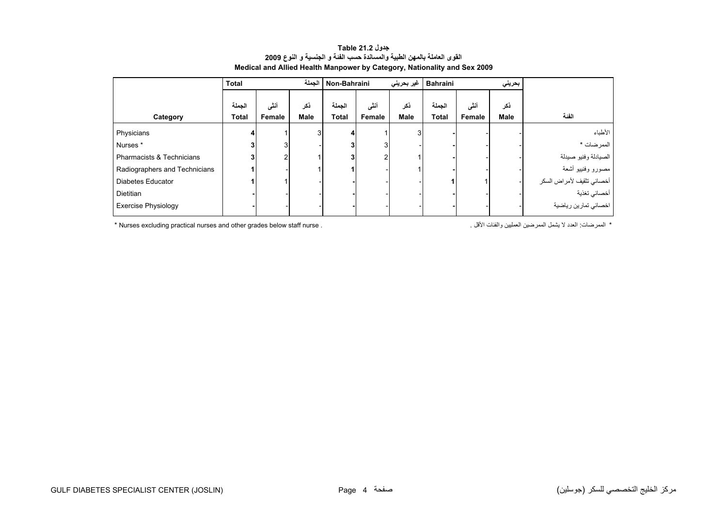<span id="page-2-0"></span>

|                                                                                                                                            | <b>Total</b>           |                | الحملة             | غیر بحرینی<br>Non-Bahraini |                       |                    | <b>Bahraini</b><br>بحريني |                 |                    |                           |
|--------------------------------------------------------------------------------------------------------------------------------------------|------------------------|----------------|--------------------|----------------------------|-----------------------|--------------------|---------------------------|-----------------|--------------------|---------------------------|
| Category                                                                                                                                   | الجملة<br><b>Total</b> | أنشى<br>Female | ذكر<br><b>Male</b> | الجملة<br><b>Total</b>     | أنثى<br><b>Female</b> | ذكر<br><b>Male</b> | الجملة<br><b>Total</b>    | أننسى<br>Female | ذكر<br><b>Male</b> | الفنة                     |
| Physicians                                                                                                                                 |                        |                |                    |                            |                       |                    |                           |                 |                    | الأطباء                   |
| Nurses <sup>*</sup>                                                                                                                        |                        |                |                    |                            |                       |                    |                           |                 |                    | الممرضات *                |
| Pharmacists & Technicians                                                                                                                  |                        |                |                    |                            |                       |                    |                           |                 |                    | الصيادلة وفنيو صيدلة      |
| Radiographers and Technicians                                                                                                              |                        |                |                    |                            |                       |                    |                           |                 |                    | مصورو وفنييو أشعة         |
| Diabetes Educator                                                                                                                          |                        |                |                    |                            |                       |                    |                           |                 |                    | أخصائي تثقيف لأمراض السكر |
| Dietitian                                                                                                                                  |                        |                |                    |                            |                       |                    |                           |                 |                    | أخصائي تغذية              |
| <b>Exercise Physiology</b>                                                                                                                 |                        |                |                    |                            |                       |                    |                           |                 |                    | اخصائي تمارين رياضية      |
| *  الممر ضات: العدد لا يشمل الممر ضبن العمليين و الفئات الأقل .<br>* Nurses excluding practical nurses and other grades below staff nurse. |                        |                |                    |                            |                       |                    |                           |                 |                    |                           |

#### **جدول 21.2 Table القوى العاملة بالمهن الطبية والمساندة حسب الفئة <sup>و</sup> الجنسية <sup>و</sup> النوع <sup>2009</sup> Medical and Allied Health Manpower by Category, Nationality and Sex 2009**